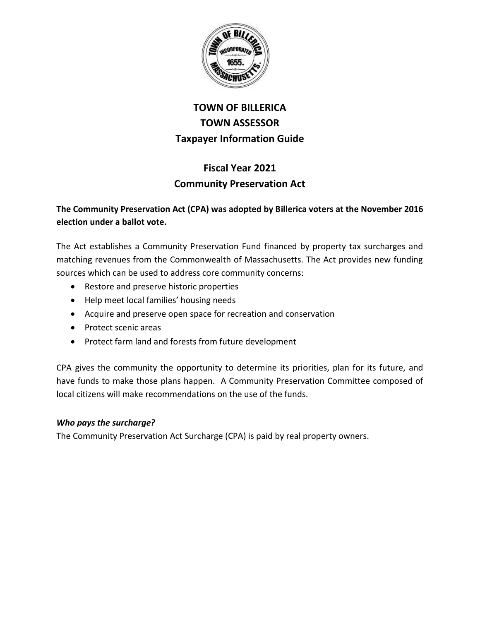

# **TOWN OF BILLERICA TOWN ASSESSOR Taxpayer Information Guide**

## **Fiscal Year 2021 Community Preservation Act**

### **The Community Preservation Act (CPA) was adopted by Billerica voters at the November 2016 election under a ballot vote.**

The Act establishes a Community Preservation Fund financed by property tax surcharges and matching revenues from the Commonwealth of Massachusetts. The Act provides new funding sources which can be used to address core community concerns:

- Restore and preserve historic properties
- Help meet local families' housing needs
- Acquire and preserve open space for recreation and conservation
- Protect scenic areas
- Protect farm land and forests from future development

CPA gives the community the opportunity to determine its priorities, plan for its future, and have funds to make those plans happen. A Community Preservation Committee composed of local citizens will make recommendations on the use of the funds.

#### *Who pays the surcharge?*

The Community Preservation Act Surcharge (CPA) is paid by real property owners.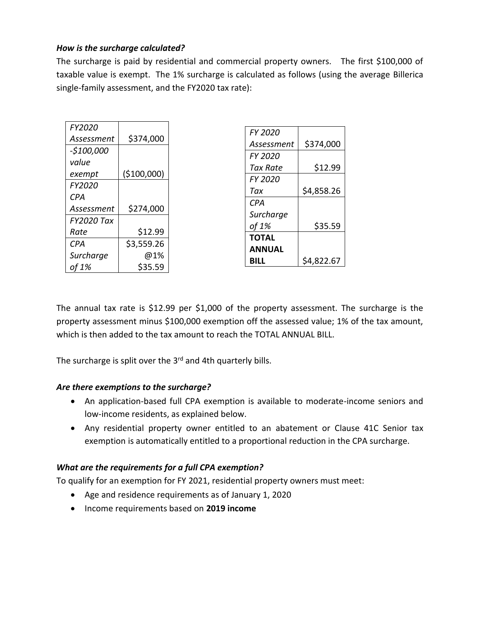#### *How is the surcharge calculated?*

The surcharge is paid by residential and commercial property owners. The first \$100,000 of taxable value is exempt. The 1% surcharge is calculated as follows (using the average Billerica single-family assessment, and the FY2020 tax rate):

| FY2020            |              |                 |            |
|-------------------|--------------|-----------------|------------|
|                   |              | FY 2020         |            |
| Assessment        | \$374,000    | Assessment      | \$374,000  |
| $-$100,000$       |              | <b>FY 2020</b>  |            |
| value             |              |                 |            |
| exempt            | ( \$100,000) | <b>Tax Rate</b> | \$12.99    |
|                   |              | FY 2020         |            |
| FY2020            |              | Tax             | \$4,858.26 |
| <b>CPA</b>        |              | <b>CPA</b>      |            |
| Assessment        | \$274,000    |                 |            |
| <b>FY2020 Tax</b> |              | Surcharge       |            |
|                   |              | of 1%           | \$35.59    |
| Rate              | \$12.99      | <b>TOTAL</b>    |            |
| <b>CPA</b>        | \$3,559.26   |                 |            |
| Surcharge         | @1%          | <b>ANNUAL</b>   |            |
|                   |              | <b>BILL</b>     | \$4,822.67 |
| of 1%             | \$35.59      |                 |            |

The annual tax rate is \$12.99 per \$1,000 of the property assessment. The surcharge is the property assessment minus \$100,000 exemption off the assessed value; 1% of the tax amount, which is then added to the tax amount to reach the TOTAL ANNUAL BILL.

The surcharge is split over the 3<sup>rd</sup> and 4th quarterly bills.

#### *Are there exemptions to the surcharge?*

- An application-based full CPA exemption is available to moderate-income seniors and low-income residents, as explained below.
- Any residential property owner entitled to an abatement or Clause 41C Senior tax exemption is automatically entitled to a proportional reduction in the CPA surcharge.

#### *What are the requirements for a full CPA exemption?*

To qualify for an exemption for FY 2021, residential property owners must meet:

- Age and residence requirements as of January 1, 2020
- Income requirements based on **2019 income**